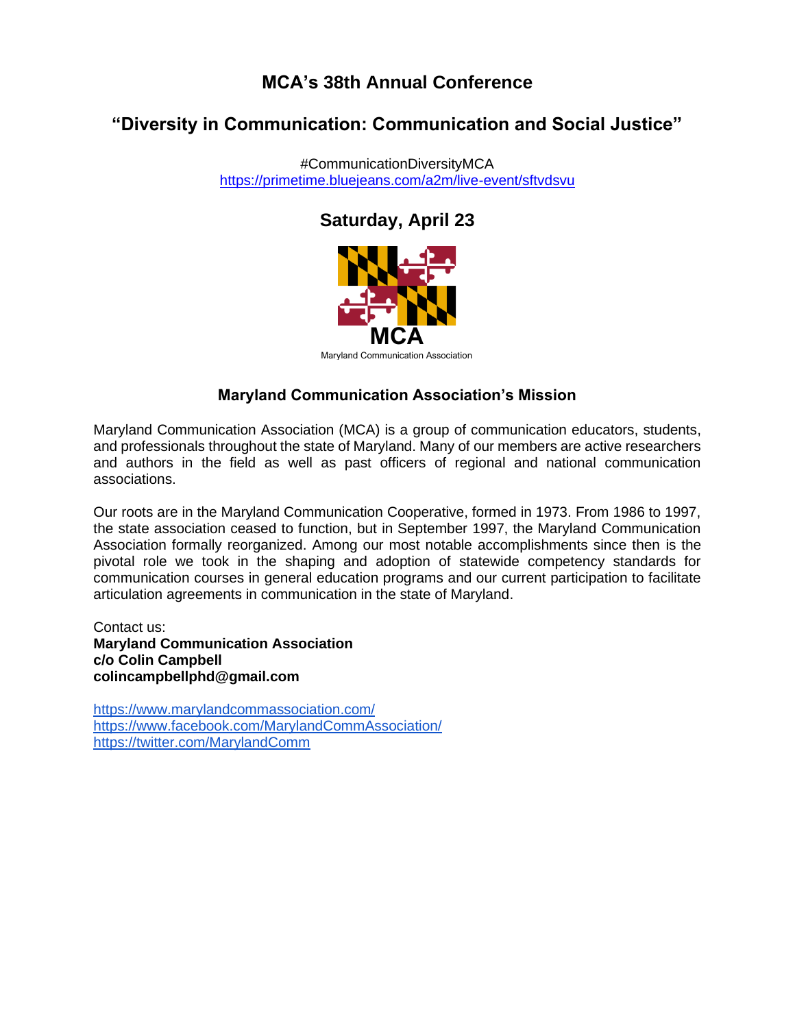## **MCA's 38th Annual Conference**

# **"Diversity in Communication: Communication and Social Justice"**

#CommunicationDiversityMCA [https://primetime.bluejeans.com/a2m/live-event/sftvdsvu](https://nam04.safelinks.protection.outlook.com/?url=https%3A%2F%2Flinkprotect.cudasvc.com%2Furl%3Fa%3Dhttps%253a%252f%252fprimetime.bluejeans.com%252fa2m%252flive-event%252fsftvdsvu%26c%3DE%2C1%2CgBXnDoMggG_TUdmgcOkhzYfgtIRxnxbyYDzMxFfnslSr8M6f9n0SL1HJ6_gtSyn1RtadyOqevVFo5LZUvanms6I-Id8Ey7NQmi8uRKZXCMI8XmR2iIM%2C%26typo%3D1&data=05%7C01%7Clkrahenbuhl%40stevenson.edu%7C43d897cbef724fb96e6a08da22e064de%7C93599c7168554022bac5141d808346d1%7C0%7C0%7C637860644420456853%7CUnknown%7CTWFpbGZsb3d8eyJWIjoiMC4wLjAwMDAiLCJQIjoiV2luMzIiLCJBTiI6Ik1haWwiLCJXVCI6Mn0%3D%7C3000%7C%7C%7C&sdata=O2l5OmxrRpF3JVXhqiVMrXTEFdofODQS7yNy34%2BQxTQ%3D&reserved=0)

## **Saturday, April 23**



Maryland Communication Association

## **Maryland Communication Association's Mission**

Maryland Communication Association (MCA) is a group of communication educators, students, and professionals throughout the state of Maryland. Many of our members are active researchers and authors in the field as well as past officers of regional and national communication associations.

Our roots are in the Maryland Communication Cooperative, formed in 1973. From 1986 to 1997, the state association ceased to function, but in September 1997, the Maryland Communication Association formally reorganized. Among our most notable accomplishments since then is the pivotal role we took in the shaping and adoption of statewide competency standards for communication courses in general education programs and our current participation to facilitate articulation agreements in communication in the state of Maryland.

Contact us: **Maryland Communication Association c/o Colin Campbell colincampbellphd@gmail.com**

<https://www.marylandcommassociation.com/> <https://www.facebook.com/MarylandCommAssociation/> <https://twitter.com/MarylandComm>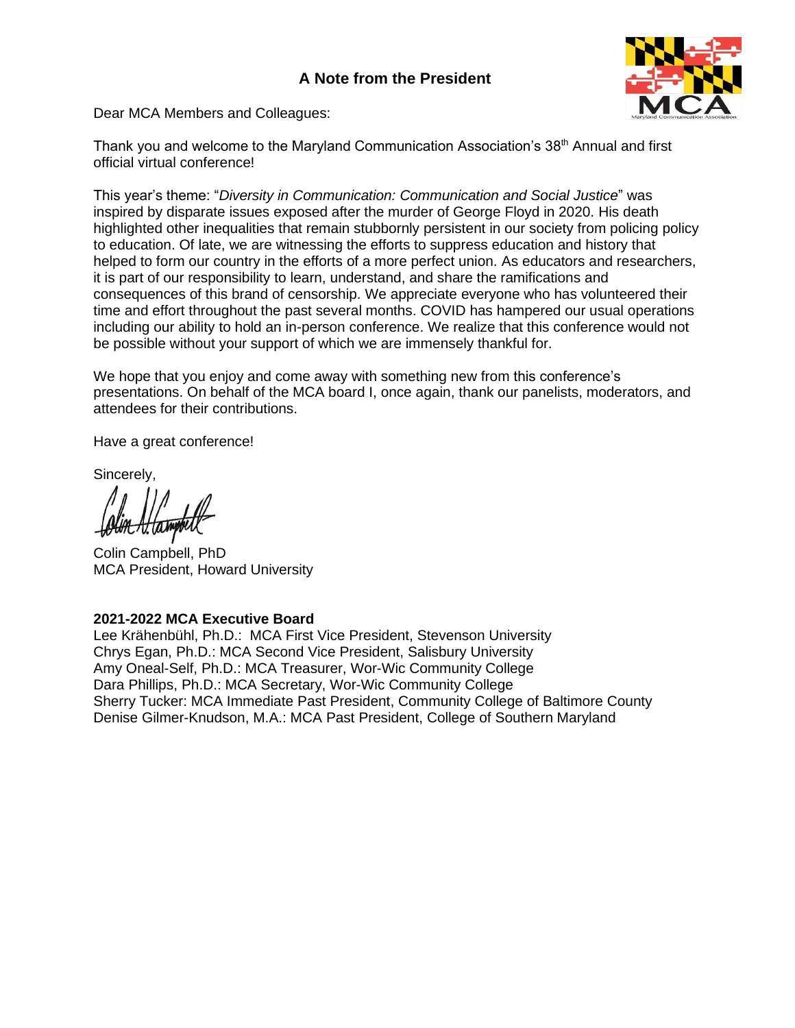### **A Note from the President**



Dear MCA Members and Colleagues:

Thank you and welcome to the Maryland Communication Association's 38<sup>th</sup> Annual and first official virtual conference!

This year's theme: "*Diversity in Communication: Communication and Social Justice*" was inspired by disparate issues exposed after the murder of George Floyd in 2020. His death highlighted other inequalities that remain stubbornly persistent in our society from policing policy to education. Of late, we are witnessing the efforts to suppress education and history that helped to form our country in the efforts of a more perfect union. As educators and researchers, it is part of our responsibility to learn, understand, and share the ramifications and consequences of this brand of censorship. We appreciate everyone who has volunteered their time and effort throughout the past several months. COVID has hampered our usual operations including our ability to hold an in-person conference. We realize that this conference would not be possible without your support of which we are immensely thankful for.

We hope that you enjoy and come away with something new from this conference's presentations. On behalf of the MCA board I, once again, thank our panelists, moderators, and attendees for their contributions.

Have a great conference!

Sincerely,

Colin Campbell, PhD MCA President, Howard University

#### **2021-2022 MCA Executive Board**

Lee Krähenbühl, Ph.D.: MCA First Vice President, Stevenson University Chrys Egan, Ph.D.: MCA Second Vice President, Salisbury University Amy Oneal-Self, Ph.D.: MCA Treasurer, Wor-Wic Community College Dara Phillips, Ph.D.: MCA Secretary, Wor-Wic Community College Sherry Tucker: MCA Immediate Past President, Community College of Baltimore County Denise Gilmer-Knudson, M.A.: MCA Past President, College of Southern Maryland